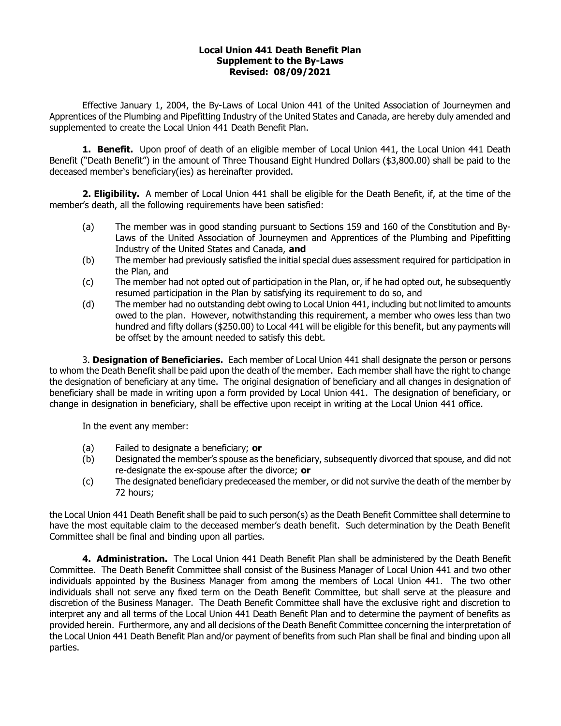## Local Union 441 Death Benefit Plan Supplement to the By-Laws Revised: 08/09/2021

Effective January 1, 2004, the By-Laws of Local Union 441 of the United Association of Journeymen and Apprentices of the Plumbing and Pipefitting Industry of the United States and Canada, are hereby duly amended and supplemented to create the Local Union 441 Death Benefit Plan.

1. Benefit. Upon proof of death of an eligible member of Local Union 441, the Local Union 441 Death Benefit ("Death Benefit") in the amount of Three Thousand Eight Hundred Dollars (\$3,800.00) shall be paid to the deceased member's beneficiary(ies) as hereinafter provided.

2. Eligibility. A member of Local Union 441 shall be eligible for the Death Benefit, if, at the time of the member's death, all the following requirements have been satisfied:

- (a) The member was in good standing pursuant to Sections 159 and 160 of the Constitution and By-Laws of the United Association of Journeymen and Apprentices of the Plumbing and Pipefitting Industry of the United States and Canada, and
- (b) The member had previously satisfied the initial special dues assessment required for participation in the Plan, and
- (c) The member had not opted out of participation in the Plan, or, if he had opted out, he subsequently resumed participation in the Plan by satisfying its requirement to do so, and
- (d) The member had no outstanding debt owing to Local Union 441, including but not limited to amounts owed to the plan. However, notwithstanding this requirement, a member who owes less than two hundred and fifty dollars (\$250.00) to Local 441 will be eligible for this benefit, but any payments will be offset by the amount needed to satisfy this debt.

3. Designation of Beneficiaries. Each member of Local Union 441 shall designate the person or persons to whom the Death Benefit shall be paid upon the death of the member. Each member shall have the right to change the designation of beneficiary at any time. The original designation of beneficiary and all changes in designation of beneficiary shall be made in writing upon a form provided by Local Union 441. The designation of beneficiary, or change in designation in beneficiary, shall be effective upon receipt in writing at the Local Union 441 office.

In the event any member:

- (a) Failed to designate a beneficiary; or
- (b) Designated the member's spouse as the beneficiary, subsequently divorced that spouse, and did not re-designate the ex-spouse after the divorce; or
- (c) The designated beneficiary predeceased the member, or did not survive the death of the member by 72 hours;

the Local Union 441 Death Benefit shall be paid to such person(s) as the Death Benefit Committee shall determine to have the most equitable claim to the deceased member's death benefit. Such determination by the Death Benefit Committee shall be final and binding upon all parties.

4. Administration. The Local Union 441 Death Benefit Plan shall be administered by the Death Benefit Committee. The Death Benefit Committee shall consist of the Business Manager of Local Union 441 and two other individuals appointed by the Business Manager from among the members of Local Union 441. The two other individuals shall not serve any fixed term on the Death Benefit Committee, but shall serve at the pleasure and discretion of the Business Manager. The Death Benefit Committee shall have the exclusive right and discretion to interpret any and all terms of the Local Union 441 Death Benefit Plan and to determine the payment of benefits as provided herein. Furthermore, any and all decisions of the Death Benefit Committee concerning the interpretation of the Local Union 441 Death Benefit Plan and/or payment of benefits from such Plan shall be final and binding upon all parties.